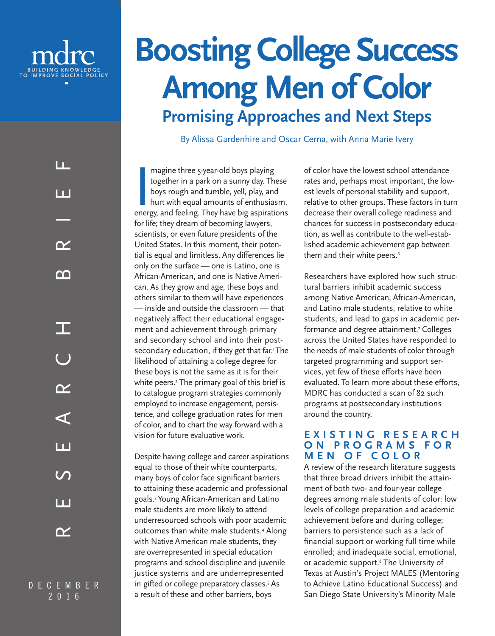

# **Boosting College Success Among Men of Color Promising Approaches and Next Steps**

By Alissa Gardenhire and Oscar Cerna, with Anna Marie Ivery

magine three 5-year-old boys playing<br>together in a park on a sunny day. These<br>boys rough and tumble, yell, play, and<br>hurt with equal amounts of enthusiasm,<br>energy, and feeling. They have big aspirations magine three 5-year-old boys playing together in a park on a sunny day. These boys rough and tumble, yell, play, and hurt with equal amounts of enthusiasm, for life; they dream of becoming lawyers, scientists, or even future presidents of the United States. In this moment, their potential is equal and limitless. Any differences lie only on the surface — one is Latino, one is African-American, and one is Native American. As they grow and age, these boys and others similar to them will have experiences — inside and outside the classroom — that negatively affect their educational engagement and achievement through primary and secondary school and into their postsecondary education, if they get that far.<sup>1</sup>The likelihood of attaining a college degree for these boys is not the same as it is for their white peers.2 The primary goal of this brief is to catalogue program strategies commonly employed to increase engagement, persistence, and college graduation rates for men of color, and to chart the way forward with a vision for future evaluative work.

Despite having college and career aspirations equal to those of their white counterparts, many boys of color face significant barriers to attaining these academic and professional goals.3 Young African-American and Latino male students are more likely to attend underresourced schools with poor academic outcomes than white male students.4 Along with Native American male students, they are overrepresented in special education programs and school discipline and juvenile justice systems and are underrepresented in gifted or college preparatory classes.5 As a result of these and other barriers, boys

of color have the lowest school attendance rates and, perhaps most important, the lowest levels of personal stability and support, relative to other groups. These factors in turn decrease their overall college readiness and chances for success in postsecondary education, as well as contribute to the well-established academic achievement gap between them and their white peers.<sup>6</sup>

Researchers have explored how such structural barriers inhibit academic success among Native American, African-American, and Latino male students, relative to white students, and lead to gaps in academic performance and degree attainment.7 Colleges across the United States have responded to the needs of male students of color through targeted programming and support services, yet few of these efforts have been evaluated. To learn more about these efforts, MDRC has conducted a scan of 82 such programs at postsecondary institutions around the country.

### **E X I S T I N G R E S E A R C H O N P R O G R A M S F O R MEN OF COLOR**

A review of the research literature suggests that three broad drivers inhibit the attainment of both two- and four-year college degrees among male students of color: low levels of college preparation and academic achievement before and during college; barriers to persistence such as a lack of financial support or working full time while enrolled; and inadequate social, emotional, or academic support.<sup>8</sup> The University of Texas at Austin's Project MALES (Mentoring to Achieve Latino Educational Success) and San Diego State University's Minority Male

LL. RESEARCH BRIEFn n  $\boldsymbol{\gamma}$ ∩∩ TE  $\boldsymbol{\gamma}$  $\blacktriangleleft$ Ш l II.  $\boldsymbol{\gamma}$ 

DECEMBER  $\overline{2}$  0 1 6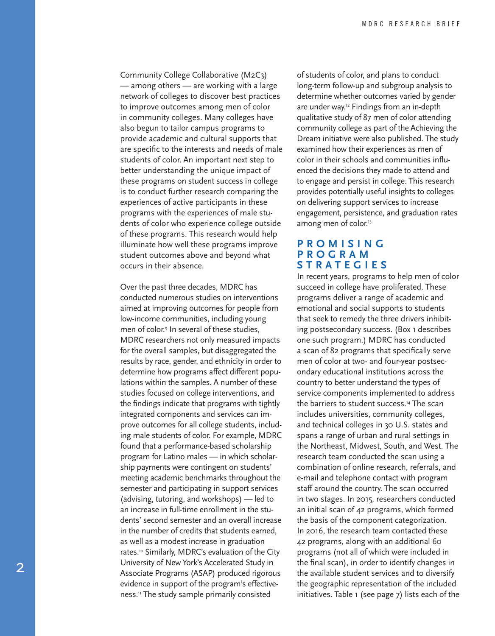Community College Collaborative (M2C3) — among others — are working with a large network of colleges to discover best practices to improve outcomes among men of color in community colleges. Many colleges have also begun to tailor campus programs to provide academic and cultural supports that are specific to the interests and needs of male students of color. An important next step to better understanding the unique impact of these programs on student success in college is to conduct further research comparing the experiences of active participants in these programs with the experiences of male stu dents of color who experience college outside of these programs. This research would help illuminate how well these programs improve student outcomes above and beyond what occurs in their absence.

Over the past three decades, MDRC has conducted numerous studies on interventions aimed at improving outcomes for people from low-income communities, including young men of color. 9 In several of these studies, MDRC researchers not only measured impacts for the overall samples, but disaggregated the results by race, gender, and ethnicity in order to determine how programs affect different popu lations within the samples. A number of these studies focused on college interventions, and the findings indicate that programs with tightly integrated components and services can im prove outcomes for all college students, includ ing male students of color. For example, MDRC found that a performance-based scholarship program for Latino males — in which scholar ship payments were contingent on students' meeting academic benchmarks throughout the semester and participating in support services (advising, tutoring, and workshops) — led to an increase in full-time enrollment in the stu dents' second semester and an overall increase in the number of credits that students earned, as well as a modest increase in graduation rates.10 Similarly, MDRC's evaluation of the City University of New York's Accelerated Study in Associate Programs (ASAP) produced rigorous evidence in support of the program's effective ness.11 The study sample primarily consisted

of students of color, and plans to conduct long-term follow-up and subgroup analysis to determine whether outcomes varied by gender are under way.<sup>12</sup> Findings from an in-depth qualitative study of 87 men of color attending community college as part of the Achieving the Dream initiative were also published. The study examined how their experiences as men of color in their schools and communities influ enced the decisions they made to attend and to engage and persist in college. This research provides potentially useful insights to colleges on delivering support services to increase engagement, persistence, and graduation rates among men of color.<sup>13</sup>

#### **P R O M I S I N G P R O G R A M STRATEGIES**

In recent years, programs to help men of color succeed in college have proliferated. These programs deliver a range of academic and emotional and social supports to students that seek to remedy the three drivers inhibit ing postsecondary success. (Box 1 describes one such program.) MDRC has conducted a scan of 82 programs that specifically serve men of color at two- and four-year postsec ondary educational institutions across the country to better understand the types of service components implemented to address the barriers to student success.<sup>14</sup> The scan includes universities, community colleges, and technical colleges in 30 U.S. states and spans a range of urban and rural settings in the Northeast, Midwest, South, and West. The research team conducted the scan using a combination of online research, referrals, and e-mail and telephone contact with program staff around the country. The scan occurred in two stages. In 2015, researchers conducted an initial scan of 42 programs, which formed the basis of the component categorization. In 2016, the research team contacted these 42 programs, along with an additional 60 programs (not all of which were included in the final scan), in order to identify changes in the available student services and to diversify the geographic representation of the included initiatives. Table 1 (see page 7) lists each of the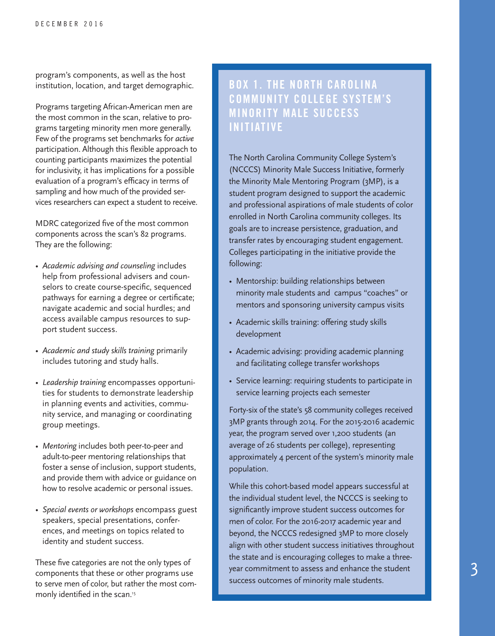program's components, as well as the host institution, location, and target demographic.

Programs targeting African-American men are the most common in the scan, relative to pro grams targeting minority men more generally. Few of the programs set benchmarks for *active* participation. Although this flexible approach to counting participants maximizes the potential for inclusivity, it has implications for a possible evaluation of a program's efficacy in terms of sampling and how much of the provided services researchers can expect a student to receive.

MDRC categorized five of the most common components across the scan's 82 programs. They are the following:

- *• Academic advising and counseling* includes help from professional advisers and coun selors to create course-specific, sequenced pathways for earning a degree or certificate; navigate academic and social hurdles; and access available campus resources to sup port student success.
- *Academic and study skills training* primarily includes tutoring and study halls.
- *Leadership training* encompasses opportuni ties for students to demonstrate leadership in planning events and activities, commu nity service, and managing or coordinating group meetings.
- *Mentoring* includes both peer-to-peer and adult-to-peer mentoring relationships that foster a sense of inclusion, support students, and provide them with advice or guidance on how to resolve academic or personal issues.
- *Special events or workshops* encompass guest speakers, special presentations, confer ences, and meetings on topics related to identity and student success.

These five categories are not the only types of components that these or other programs use to serve men of color, but rather the most com monly identified in the scan.<sup>15</sup>

### BOX 1. THE NORTH CAROLINA COMMUNITY COLLEGE SYSTEM'S MINORITY MALE SUCCESS INITIATIVE

The North Carolina Community College System's (NCCCS) Minority Male Success Initiative, formerly the Minority Male Mentoring Program (3MP), is a student program designed to support the academic and professional aspirations of male students of color enrolled in North Carolina community colleges. Its goals are to increase persistence, graduation, and transfer rates by encouraging student engagement. Colleges participating in the initiative provide the following:

- Mentorship: building relationships between minority male students and campus "coaches" or mentors and sponsoring university campus visits
- Academic skills training: offering study skills development
- Academic advising: providing academic planning and facilitating college transfer workshops
- Service learning: requiring students to participate in service learning projects each semester

Forty-six of the state's 58 community colleges received 3MP grants through 2014. For the 2015-2016 academic year, the program served over 1,200 students (an average of 26 students per college), representing approximately 4 percent of the system's minority male population.

While this cohort-based model appears successful at the individual student level, the NCCCS is seeking to significantly improve student success outcomes for men of color. For the 2016-2017 academic year and beyond, the NCCCS redesigned 3MP to more closely align with other student success initiatives throughout the state and is encouraging colleges to make a threeyear commitment to assess and enhance the student success outcomes of minority male students.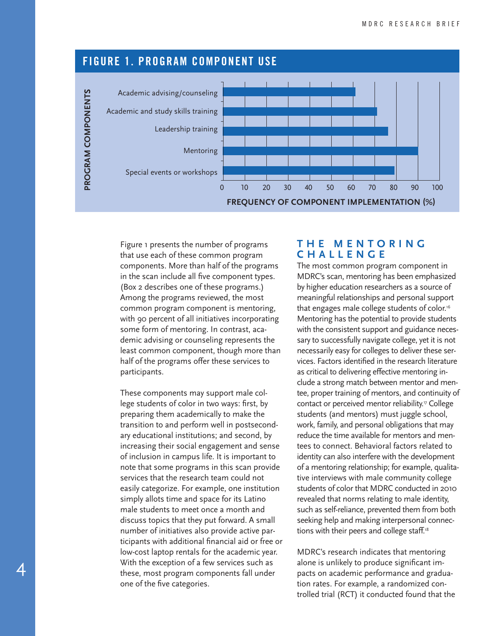

Figure 1 presents the number of programs that use each of these common program components. More than half of the programs in the scan include all five component types. (Box 2 describes one of these programs.) Among the programs reviewed, the most common program component is mentoring, with 90 percent of all initiatives incorporating some form of mentoring. In contrast, academic advising or counseling represents the least common component, though more than half of the programs offer these services to participants.

These components may support male college students of color in two ways: first, by preparing them academically to make the transition to and perform well in postsecondary educational institutions; and second, by increasing their social engagement and sense of inclusion in campus life. It is important to note that some programs in this scan provide services that the research team could not easily categorize. For example, one institution simply allots time and space for its Latino male students to meet once a month and discuss topics that they put forward. A small number of initiatives also provide active participants with additional financial aid or free or low-cost laptop rentals for the academic year. With the exception of a few services such as these, most program components fall under one of the five categories.

### **T H E M E N T O R I N G CHALLENGE**

The most common program component in MDRC's scan, mentoring has been emphasized by higher education researchers as a source of meaningful relationships and personal support that engages male college students of color.<sup>16</sup> Mentoring has the potential to provide students with the consistent support and guidance necessary to successfully navigate college, yet it is not necessarily easy for colleges to deliver these services. Factors identified in the research literature as critical to delivering effective mentoring include a strong match between mentor and mentee, proper training of mentors, and continuity of contact or perceived mentor reliability.<sup>17</sup> College students (and mentors) must juggle school, work, family, and personal obligations that may reduce the time available for mentors and mentees to connect. Behavioral factors related to identity can also interfere with the development of a mentoring relationship; for example, qualitative interviews with male community college students of color that MDRC conducted in 2010 revealed that norms relating to male identity, such as self-reliance, prevented them from both seeking help and making interpersonal connections with their peers and college staff.<sup>18</sup>

MDRC's research indicates that mentoring alone is unlikely to produce significant impacts on academic performance and graduation rates. For example, a randomized controlled trial (RCT) it conducted found that the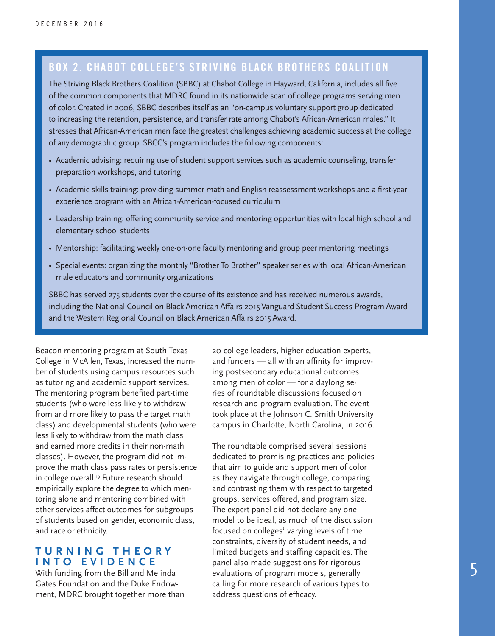### BOX 2. CHABOT COLLEGE'S STRIVING BLACK BROTHERS COALITION

The Striving Black Brothers Coalition (SBBC) at Chabot College in Hayward, California, includes all five of the common components that MDRC found in its nationwide scan of college programs serving men of color. Created in 2006, SBBC describes itself as an "on-campus voluntary support group dedicated to increasing the retention, persistence, and transfer rate among Chabot's African-American males." It stresses that African-American men face the greatest challenges achieving academic success at the college of any demographic group. SBCC's program includes the following components:

- Academic advising: requiring use of student support services such as academic counseling, transfer preparation workshops, and tutoring
- Academic skills training: providing summer math and English reassessment workshops and a first-year experience program with an African-American-focused curriculum
- Leadership training: offering community service and mentoring opportunities with local high school and elementary school students
- Mentorship: facilitating weekly one-on-one faculty mentoring and group peer mentoring meetings
- Special events: organizing the monthly "Brother To Brother" speaker series with local African-American male educators and community organizations

SBBC has served 275 students over the course of its existence and has received numerous awards, including the National Council on Black American Affairs 2015 Vanguard Student Success Program Award and the Western Regional Council on Black American Affairs 2015 Award.

Beacon mentoring program at South Texas College in McAllen, Texas, increased the number of students using campus resources such as tutoring and academic support services. The mentoring program benefited part-time students (who were less likely to withdraw from and more likely to pass the target math class) and developmental students (who were less likely to withdraw from the math class and earned more credits in their non-math classes). However, the program did not improve the math class pass rates or persistence in college overall.<sup>19</sup> Future research should empirically explore the degree to which mentoring alone and mentoring combined with other services affect outcomes for subgroups of students based on gender, economic class, and race or ethnicity.

### **T U R N I N G T H E O R Y INTO EVIDENCE**

With funding from the Bill and Melinda Gates Foundation and the Duke Endowment, MDRC brought together more than 20 college leaders, higher education experts, and funders — all with an affinity for improving postsecondary educational outcomes among men of color — for a daylong series of roundtable discussions focused on research and program evaluation. The event took place at the Johnson C. Smith University campus in Charlotte, North Carolina, in 2016.

The roundtable comprised several sessions dedicated to promising practices and policies that aim to guide and support men of color as they navigate through college, comparing and contrasting them with respect to targeted groups, services offered, and program size. The expert panel did not declare any one model to be ideal, as much of the discussion focused on colleges' varying levels of time constraints, diversity of student needs, and limited budgets and staffing capacities. The panel also made suggestions for rigorous evaluations of program models, generally calling for more research of various types to address questions of efficacy.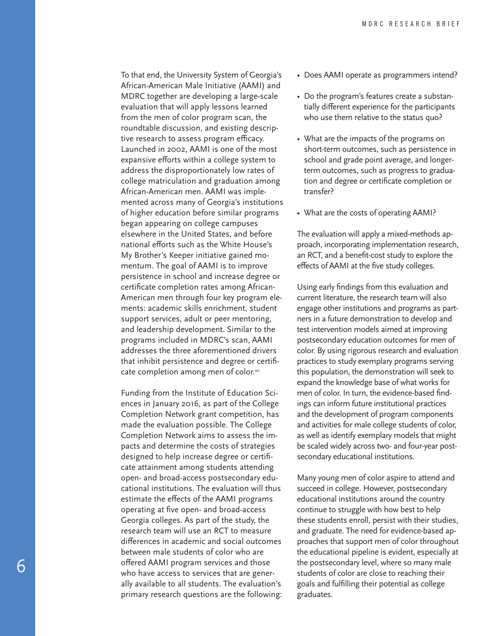To that end, the University System of Georgia's African-American Male Initiative (AAMI) and MDRC together are developing a large-scale evaluation that will apply lessons learned from the men of color program scan, the roundtable discussion, and existing descrip tive research to assess program efficacy. Launched in 2002, AAMI is one of the most expansive efforts within a college system to address the disproportionately low rates of college matriculation and graduation among African-American men. AAMI was imple mented across many of Georgia's institutions of higher education before similar programs began appearing on college campuses elsewhere in the United States, and before national efforts such as the White House's My Brother's Keeper initiative gained mo mentum. The goal of AAMI is to improve persistence in school and increase degree or certificate completion rates among African-American men through four key program ele ments: academic skills enrichment, student support services, adult or peer mentoring, and leadership development. Similar to the programs included in MDRC's scan, AAMI addresses the three aforementioned drivers that inhibit persistence and degree or certifi cate completion among men of color.<sup>20</sup>

Funding from the Institute of Education Sci ences in January 2016, as part of the College Completion Network grant competition, has made the evaluation possible. The College Completion Network aims to assess the im pacts and determine the costs of strategies designed to help increase degree or certifi cate attainment among students attending open- and broad-access postsecondary edu cational institutions. The evaluation will thus estimate the effects of the AAMI programs operating at five open- and broad-access Georgia colleges. As part of the study, the research team will use an RCT to measure differences in academic and social outcomes between male students of color who are offered AAMI program services and those who have access to services that are gener ally available to all students. The evaluation's primary research questions are the following:

- Does AAMI operate as programmers intend?
- Do the program's features create a substantially different experience for the participants who use them relative to the status quo?
- What are the impacts of the programs on short-term outcomes, such as persistence in school and grade point average, and longerterm outcomes, such as progress to graduation and degree or certificate completion or transfer?
- What are the costs of operating AAMI?

The evaluation will apply a mixed-methods ap proach, incorporating implementation research, an RCT, and a benefit-cost study to explore the effects of AAMI at the five study colleges.

Using early findings from this evaluation and current literature, the research team will also engage other institutions and programs as part ners in a future demonstration to develop and test intervention models aimed at improving postsecondary education outcomes for men of color. By using rigorous research and evaluation practices to study exemplary programs serving this population, the demonstration will seek to expand the knowledge base of what works for men of color. In turn, the evidence-based find ings can inform future institutional practices and the development of program components and activities for male college students of color, as well as identify exemplary models that might be scaled widely across two- and four-year post secondary educational institutions.

Many young men of color aspire to attend and succeed in college. However, postsecondary educational institutions around the country continue to struggle with how best to help these students enroll, persist with their studies, and graduate. The need for evidence-based ap proaches that support men of color throughout the educational pipeline is evident, especially at the postsecondary level, where so many male students of color are close to reaching their goals and fulfilling their potential as college graduates.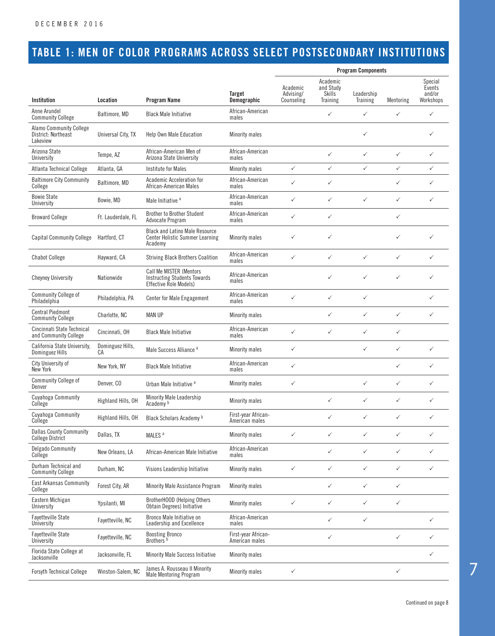### TABLE 1: MEN OF COLOR PROGRAMS ACROSS SELECT POSTSECONDARY INSTITUTIONS

|                                                                   |                        |                                                                                                 |                                       | <b>Program Components</b>                                                                                                  |              |              |                                          |              |  |
|-------------------------------------------------------------------|------------------------|-------------------------------------------------------------------------------------------------|---------------------------------------|----------------------------------------------------------------------------------------------------------------------------|--------------|--------------|------------------------------------------|--------------|--|
| <b>Institution</b>                                                | Location               | <b>Program Name</b>                                                                             | <b>Target</b><br><b>Demographic</b>   | Academic<br>Academic<br>and Study<br>Advising/<br>Skills<br>Leadership<br>Counseling<br><b>Training</b><br><b>Training</b> |              | Mentoring    | Special<br>Events<br>and/or<br>Workshops |              |  |
| Anne Arundel<br><b>Community College</b>                          | Baltimore, MD          | <b>Black Male Initiative</b>                                                                    | African-American<br>males             |                                                                                                                            | ✓            | $\checkmark$ | $\checkmark$                             | ✓            |  |
| <b>Alamo Community College</b><br>District: Northeast<br>Lakeview | Universal City, TX     | Help Own Male Education                                                                         | <b>Minority males</b>                 |                                                                                                                            |              | ✓            |                                          | ✓            |  |
| Arizona State<br>University                                       | Tempe, AZ              | African-American Men of<br>Arizona State University                                             | African-American<br>males             |                                                                                                                            | $\checkmark$ | $\checkmark$ | $\checkmark$                             | ✓            |  |
| Atlanta Technical College                                         | Atlanta, GA            | Institute for Males                                                                             | <b>Minority males</b>                 | $\checkmark$                                                                                                               | $\checkmark$ | ✓            | $\checkmark$                             | ✓            |  |
| <b>Baltimore City Community</b><br>College                        | Baltimore, MD          | Academic Acceleration for<br>African-American Males                                             | African-American<br>males             | ✓                                                                                                                          | ✓            |              | $\checkmark$                             | ✓            |  |
| <b>Bowie State</b><br>University                                  | Bowie, MD              | Male Initiative <sup>a</sup>                                                                    | African-American<br>males             | ✓                                                                                                                          | ✓            | ✓            | $\checkmark$                             | ✓            |  |
| <b>Broward College</b>                                            | Ft. Lauderdale, FL     | <b>Brother to Brother Student</b><br>Advocate Program                                           | African-American<br>males             | ✓                                                                                                                          | $\checkmark$ |              | $\checkmark$                             |              |  |
| <b>Capital Community College</b>                                  | Hartford, CT           | <b>Black and Latino Male Resource</b><br><b>Center Holistic Summer Learning</b><br>Academy      | <b>Minority males</b>                 | ✓                                                                                                                          | ✓            |              | $\checkmark$                             | ✓            |  |
| <b>Chabot College</b>                                             | Hayward, CA            | <b>Striving Black Brothers Coalition</b>                                                        | African-American<br>males             | ✓                                                                                                                          | $\checkmark$ | $\checkmark$ | $\checkmark$                             | ✓            |  |
| <b>Cheyney University</b>                                         | Nationwide             | <b>Call Me MISTER (Mentors</b><br><b>Instructing Students Towards</b><br>Effective Role Models) | African-American<br>males             |                                                                                                                            | ✓            | ✓            | $\checkmark$                             | ✓            |  |
| <b>Community College of</b><br>Philadelphia                       | Philadelphia, PA       | <b>Center for Male Engagement</b>                                                               | African-American<br>males             | ✓                                                                                                                          | $\checkmark$ | $\checkmark$ |                                          | ✓            |  |
| <b>Central Piedmont</b><br><b>Community College</b>               | Charlotte, NC          | <b>MAN UP</b>                                                                                   | Minority males                        |                                                                                                                            | $\checkmark$ | $\checkmark$ | $\checkmark$                             | ✓            |  |
| Cincinnati State Technical<br>and Community College               | Cincinnati, OH         | <b>Black Male Initiative</b>                                                                    | African-American<br>males             | ✓                                                                                                                          | ✓            | ✓            | $\checkmark$                             |              |  |
| California State University,<br>Dominguez Hills                   | Dominguez Hills,<br>СA | Male Success Alliance <sup>a</sup>                                                              | Minority males                        | ✓                                                                                                                          |              | ✓            | $\checkmark$                             | ✓            |  |
| City University of<br>New York                                    | New York, NY           | <b>Black Male Initiative</b>                                                                    | African-American<br>males             | ✓                                                                                                                          |              |              | $\checkmark$                             | ✓            |  |
| Community College of<br>Denver                                    | Denver. CO             | Urban Male Initiative <sup>a</sup>                                                              | Minority males                        | ✓                                                                                                                          |              | ✓            | $\checkmark$                             | ✓            |  |
| Cuyahoga Community<br>College                                     | Highland Hills, OH     | <b>Minority Male Leadership</b><br>Academy <sup>b</sup>                                         | Minority males                        |                                                                                                                            | ✓            | ✓            | $\checkmark$                             | ✓            |  |
| <b>Cuyahoga Community</b><br>College                              | Highland Hills, OH     | Black Scholars Academy b                                                                        | First-year African-<br>American males |                                                                                                                            | ./           |              |                                          |              |  |
| <b>Dallas County Community</b><br><b>College District</b>         | Dallas, TX             | MALES <sup>a</sup>                                                                              | Minority males                        | ✓                                                                                                                          | ✓            | ✓            | $\checkmark$                             | $\checkmark$ |  |
| <b>Delgado Community</b><br>College                               | New Orleans, LA        | African-American Male Initiative                                                                | African-American<br>males             |                                                                                                                            | $\checkmark$ | $\checkmark$ | $\checkmark$                             | $\checkmark$ |  |
| Durham Technical and<br><b>Community College</b>                  | Durham, NC             | Visions Leadership Initiative                                                                   | <b>Minority males</b>                 | ✓                                                                                                                          | $\checkmark$ | $\checkmark$ | $\checkmark$                             | ✓            |  |
| <b>East Arkansas Community</b><br>College                         | Forest City, AR        | Minority Male Assistance Program                                                                | Minority males                        |                                                                                                                            | $\checkmark$ | $\checkmark$ | $\checkmark$                             |              |  |
| Eastern Michigan<br>University                                    | Ypsilanti, MI          | BrotherHOOD (Helping Others<br>Obtain Degrees) Initiative                                       | Minority males                        | ✓                                                                                                                          | $\checkmark$ | ✓            | $\checkmark$                             |              |  |
| Fayetteville State<br>University                                  | Fayetteville, NC       | Bronco Male Initiative on<br>Leadership and Excellence                                          | African-American<br>males             |                                                                                                                            | ✓            | ✓            |                                          | ✓            |  |
| <b>Fayetteville State</b><br>University                           | Fayetteville, NC       | <b>Boosting Bronco</b><br>Brothers <sup>b</sup>                                                 | First-year African-<br>American males |                                                                                                                            | ✓            |              | $\checkmark$                             | ✓            |  |
| Florida State College at<br>Jacksonville                          | Jacksonville, FL       | <b>Minority Male Success Initiative</b>                                                         | Minority males                        |                                                                                                                            |              |              |                                          | ✓            |  |
| <b>Forsyth Technical College</b>                                  | Winston-Salem, NC      | James A. Rousseau II Minority<br><b>Male Mentoring Program</b>                                  | Minority males                        | ✓                                                                                                                          |              |              | ✓                                        |              |  |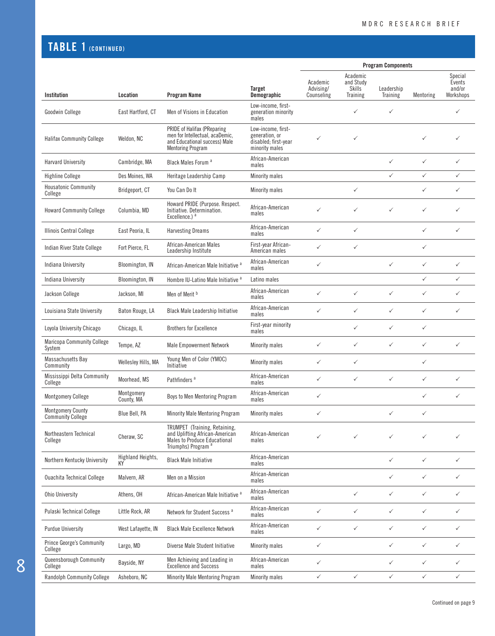### TABLE 1 (CONTINUED)

|                                                      |                          |                                                                                                                                   |                                                                                |                                     |                                                    | <b>Program Components</b> |              |                                          |
|------------------------------------------------------|--------------------------|-----------------------------------------------------------------------------------------------------------------------------------|--------------------------------------------------------------------------------|-------------------------------------|----------------------------------------------------|---------------------------|--------------|------------------------------------------|
| Institution                                          | Location                 | <b>Program Name</b>                                                                                                               | Target<br>Demographic                                                          | Academic<br>Advising/<br>Counseling | Academic<br>and Study<br><b>Skills</b><br>Training | Leadership<br>Training    | Mentoring    | Special<br>Events<br>and/or<br>Workshops |
| <b>Goodwin College</b>                               | East Hartford, CT        | Men of Visions in Education                                                                                                       | Low-income, first-<br>generation minority<br>males                             |                                     | ✓                                                  | $\checkmark$              |              | ✓                                        |
| <b>Halifax Community College</b>                     | Weldon, NC               | PRIDE of Halifax (PReparing<br>men for Intellectual, acaDemic,<br>and Educational success) Male<br><b>Mentoring Program</b>       | Low-income, first-<br>generation, or<br>disabled; first-year<br>minority males | ✓                                   | $\checkmark$                                       |                           | ✓            | ✓                                        |
| <b>Harvard University</b>                            | Cambridge, MA            | Black Males Forum <sup>a</sup>                                                                                                    | African-American<br>males                                                      |                                     |                                                    | $\checkmark$              | $\checkmark$ | ✓                                        |
| <b>Highline College</b>                              | Des Moines, WA           | Heritage Leadership Camp                                                                                                          | Minority males                                                                 |                                     |                                                    | $\checkmark$              | $\checkmark$ | ✓                                        |
| <b>Housatonic Community</b><br>College               | Bridgeport, CT           | You Can Do It                                                                                                                     | Minority males                                                                 |                                     | $\checkmark$                                       |                           | ✓            | ✓                                        |
| <b>Howard Community College</b>                      | Columbia, MD             | Howard PRIDE (Purpose. Respect.<br>Initiative. Determination.<br>Excellence.) <sup>a</sup>                                        | African-American<br>males                                                      | ✓                                   | $\checkmark$                                       | $\checkmark$              | $\checkmark$ | ✓                                        |
| <b>Illinois Central College</b>                      | East Peoria, IL          | <b>Harvesting Dreams</b>                                                                                                          | African-American<br>males                                                      | ✓                                   | $\checkmark$                                       |                           | $\checkmark$ | ✓                                        |
| Indian River State College                           | Fort Pierce, FL          | African-American Males<br>Leadership Institute                                                                                    | First-year African-<br>American males                                          | ✓                                   | $\checkmark$                                       |                           | $\checkmark$ |                                          |
| Indiana University                                   | Bloomington, IN          | African-American Male Initiative <sup>a</sup>                                                                                     | African-American<br>males                                                      | ✓                                   |                                                    | $\checkmark$              | $\checkmark$ | ✓                                        |
| Indiana University                                   | Bloomington, IN          | Hombre IU-Latino Male Initiative <sup>a</sup>                                                                                     | Latino males                                                                   |                                     |                                                    |                           | ✓            | ✓                                        |
| Jackson College                                      | Jackson, MI              | Men of Merit <sup>b</sup>                                                                                                         | African-American<br>males                                                      | ✓                                   | $\checkmark$                                       | $\checkmark$              | $\checkmark$ | ✓                                        |
| Louisiana State University                           | Baton Rouge, LA          | <b>Black Male Leadership Initiative</b>                                                                                           | African-American<br>males                                                      | ✓                                   | $\checkmark$                                       | $\checkmark$              | $\checkmark$ | ✓                                        |
| Loyola University Chicago                            | Chicago, IL              | <b>Brothers for Excellence</b>                                                                                                    | First-year minority<br>males                                                   |                                     | $\checkmark$                                       | $\checkmark$              | $\checkmark$ |                                          |
| <b>Maricopa Community College</b><br>System          | Tempe, AZ                | <b>Male Empowerment Network</b>                                                                                                   | Minority males                                                                 | ✓                                   | $\checkmark$                                       | $\checkmark$              | $\checkmark$ | ✓                                        |
| Massachusetts Bay<br>Community                       | Wellesley Hills, MA      | Young Men of Color (YMOC)<br>Initiative                                                                                           | Minority males                                                                 | ✓                                   | $\checkmark$                                       |                           | $\checkmark$ |                                          |
| Mississippi Delta Community<br>College               | Moorhead, MS             | Pathfinders <sup>a</sup>                                                                                                          | African-American<br>males                                                      | ✓                                   | $\checkmark$                                       | $\checkmark$              | $\checkmark$ | ✓                                        |
| <b>Montgomery College</b>                            | Montgomery<br>County, MA | Boys to Men Mentoring Program                                                                                                     | African-American<br>males                                                      | ✓                                   |                                                    |                           | ✓            | ✓                                        |
| <b>Montgomery County</b><br><b>Community College</b> | Blue Bell, PA            | Minority Male Mentoring Program                                                                                                   | Minority males                                                                 |                                     |                                                    |                           |              |                                          |
| Northeastern Technical<br>College                    | Cheraw, SC               | TRUMPET (Training, Retaining,<br>and Uplifting African-American<br>Males to Produce Educational<br>Triumphs) Program <sup>a</sup> | African-American<br>males                                                      | ✓                                   | $\checkmark$                                       | ✓                         | ✓            | ✓                                        |
| Northern Kentucky University                         | Highland Heights,        | <b>Black Male Initiative</b>                                                                                                      | African-American<br>males                                                      |                                     |                                                    | $\checkmark$              | $\checkmark$ | ✓                                        |
| <b>Ouachita Technical College</b>                    | Malvern, AR              | Men on a Mission                                                                                                                  | African-American<br>males                                                      |                                     |                                                    | $\checkmark$              | $\checkmark$ | ✓                                        |
| <b>Ohio University</b>                               | Athens, OH               | African-American Male Initiative <sup>a</sup>                                                                                     | African-American<br>males                                                      |                                     | $\checkmark$                                       | $\checkmark$              | $\checkmark$ | ✓                                        |
| Pulaski Technical College                            | Little Rock, AR          | Network for Student Success <sup>a</sup>                                                                                          | African-American<br>males                                                      | $\checkmark$                        | $\checkmark$                                       | $\checkmark$              | $\checkmark$ | $\checkmark$                             |
| <b>Purdue University</b>                             | West Lafayette, IN       | <b>Black Male Excellence Network</b>                                                                                              | African-American<br>males                                                      | ✓                                   | $\checkmark$                                       | $\checkmark$              | $\checkmark$ | ✓                                        |
| <b>Prince George's Community</b><br>College          | Largo, MD                | Diverse Male Student Initiative                                                                                                   | Minority males                                                                 | $\checkmark$                        |                                                    | $\checkmark$              | $\checkmark$ | ✓                                        |
| Queensborough Community<br>College                   | Bayside, NY              | Men Achieving and Leading in<br><b>Excellence and Success</b>                                                                     | African-American<br>males                                                      | $\checkmark$                        |                                                    | $\checkmark$              | $\checkmark$ | $\checkmark$                             |
| <b>Randolph Community College</b>                    | Asheboro, NC             | Minority Male Mentoring Program                                                                                                   | Minority males                                                                 | $\checkmark$                        | $\checkmark$                                       | $\checkmark$              | $\checkmark$ | $\checkmark$                             |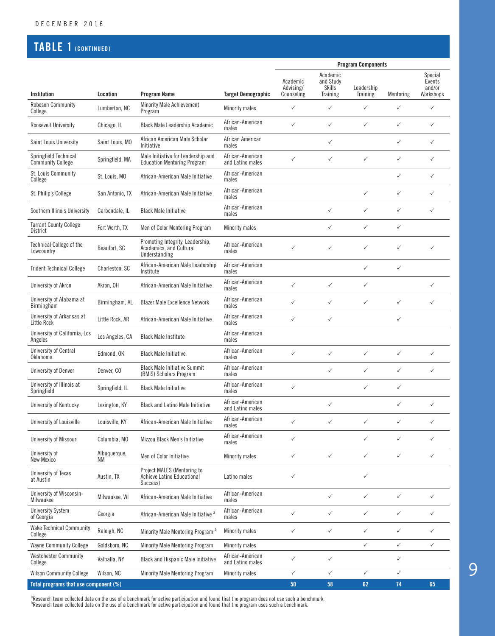### TABLE 1 (CONTINUED)

|                                                   |                    |                                                                              |                                      | <b>Program Components</b>           |                                                    |                        |              |                                          |
|---------------------------------------------------|--------------------|------------------------------------------------------------------------------|--------------------------------------|-------------------------------------|----------------------------------------------------|------------------------|--------------|------------------------------------------|
| Institution                                       | Location           | <b>Program Name</b>                                                          | <b>Target Demographic</b>            | Academic<br>Advising/<br>Counseling | Academic<br>and Study<br>Skills<br><b>Training</b> | Leadership<br>Training | Mentoring    | Special<br>Events<br>and/or<br>Workshops |
| <b>Robeson Community</b>                          | Lumberton, NC      | <b>Minority Male Achievement</b>                                             | Minority males                       | $\checkmark$                        | $\checkmark$                                       | $\checkmark$           | $\checkmark$ | $\checkmark$                             |
| College<br>Roosevelt University                   | Chicago, IL        | Program<br>Black Male Leadership Academic                                    | African-American<br>males            | ✓                                   | $\checkmark$                                       | ✓                      | ✓            | $\checkmark$                             |
| Saint Louis University                            | Saint Louis, MO    | African American Male Scholar<br>Initiative                                  | African American<br>males            |                                     | $\checkmark$                                       |                        | ✓            | $\checkmark$                             |
| Springfield Technical<br><b>Community College</b> | Springfield, MA    | Male Initiative for Leadership and<br><b>Education Mentoring Program</b>     | African-American<br>and Latino males | $\checkmark$                        | $\checkmark$                                       | $\checkmark$           | ✓            | $\checkmark$                             |
| St. Louis Community<br>College                    | St. Louis, MO      | African-American Male Initiative                                             | African-American<br>males            |                                     |                                                    |                        | ✓            | $\checkmark$                             |
| St. Philip's College                              | San Antonio, TX    | African-American Male Initiative                                             | African-American<br>males            |                                     |                                                    | ✓                      | ✓            | $\checkmark$                             |
| Southern Illinois University                      | Carbondale, IL     | <b>Black Male Initiative</b>                                                 | African-American<br>males            |                                     | $\checkmark$                                       | ✓                      | ✓            | $\checkmark$                             |
| <b>Tarrant County College</b><br><b>District</b>  | Fort Worth, TX     | Men of Color Mentoring Program                                               | <b>Minority males</b>                |                                     | ✓                                                  | ✓                      | ✓            |                                          |
| <b>Technical College of the</b><br>Lowcountry     | Beaufort, SC       | Promoting Integrity, Leadership,<br>Academics, and Cultural<br>Understanding | African-American<br>males            | ✓                                   | ✓                                                  | ✓                      | ✓            | $\checkmark$                             |
| <b>Trident Technical College</b>                  | Charleston, SC     | African-American Male Leadership<br>Institute                                | African-American<br>males            |                                     |                                                    | ✓                      | $\checkmark$ |                                          |
| University of Akron                               | Akron, OH          | African-American Male Initiative                                             | African-American<br>males            | ✓                                   | $\checkmark$                                       | ✓                      |              | $\checkmark$                             |
| University of Alabama at<br><b>Birmingham</b>     | Birmingham, AL     | <b>Blazer Male Excellence Network</b>                                        | African-American<br>males            | ✓                                   | $\checkmark$                                       | ✓                      | ✓            | $\checkmark$                             |
| University of Arkansas at<br>Little Rock          | Little Rock, AR    | African-American Male Initiative                                             | African-American<br>males            | ✓                                   | $\checkmark$                                       |                        | ✓            |                                          |
| University of California, Los<br>Angeles          | Los Angeles, CA    | <b>Black Male Institute</b>                                                  | African-American<br>males            |                                     |                                                    |                        |              |                                          |
| University of Central<br>Oklahoma                 | Edmond, OK         | <b>Black Male Initiative</b>                                                 | African-American<br>males            | ✓                                   | $\checkmark$                                       | ✓                      | ✓            | $\checkmark$                             |
| <b>University of Denver</b>                       | Denver, CO         | <b>Black Male Initiative Summit</b><br>(BMIS) Scholars Program               | African-American<br>males            |                                     | $\checkmark$                                       | ✓                      | ✓            | $\checkmark$                             |
| University of Illinois at<br>Springfield          | Springfield, IL    | <b>Black Male Initiative</b>                                                 | African-American<br>males            | ✓                                   |                                                    | ✓                      | ✓            |                                          |
| University of Kentucky                            | Lexington, KY      | <b>Black and Latino Male Initiative</b>                                      | African-American<br>and Latino males |                                     | ✓                                                  |                        | ✓            | $\checkmark$                             |
| University of Louisville                          | Louisville, KY     | African-American Male Initiative                                             | African-American<br>males            | ✓                                   | $\checkmark$                                       | ✓                      | ✓            | $\checkmark$                             |
| University of Missouri                            | Columbia, MO       | Mizzou Black Men's Initiative                                                | African-American<br>males            | ✓                                   |                                                    | ✓                      | ✓            | $\checkmark$                             |
| University of<br>New Mexico                       | Albuquerque,<br>ΝM | Men of Color Initiative                                                      | Minority males                       | $\checkmark$                        | $\checkmark$                                       | $\checkmark$           | ✓            | $\checkmark$                             |
| University of Texas<br>at Austin                  | Austin, TX         | Project MALES (Mentoring to<br>Achieve Latino Educational<br>Success)        | Latino males                         | ✓                                   |                                                    | ✓                      |              |                                          |
| University of Wisconsin-<br>Milwaukee             | Milwaukee, WI      | African-American Male Initiative                                             | African-American<br>males            |                                     | $\checkmark$                                       | ✓                      | ✓            | $\checkmark$                             |
| <b>University System</b><br>of Georgia            | Georgia            | African-American Male Initiative <sup>a</sup>                                | African-American<br>males            | ✓                                   | $\checkmark$                                       | ✓                      | ✓            | $\checkmark$                             |
| <b>Wake Technical Community</b><br>College        | Raleigh, NC        | Minority Male Mentoring Program <sup>a</sup>                                 | Minority males                       | $\checkmark$                        | $\checkmark$                                       | $\checkmark$           | ✓            | $\checkmark$                             |
| <b>Wayne Community College</b>                    | Goldsboro, NC      | <b>Minority Male Mentoring Program</b>                                       | Minority males                       |                                     |                                                    | $\checkmark$           | $\checkmark$ | $\checkmark$                             |
| <b>Westchester Community</b><br>College           | Valhalla, NY       | <b>Black and Hispanic Male Initiative</b>                                    | African-American<br>and Latino males | ✓                                   | $\checkmark$                                       |                        | ✓            |                                          |
| <b>Wilson Community College</b>                   | Wilson, NC         | <b>Minority Male Mentoring Program</b>                                       | Minority males                       | $\checkmark$                        | $\checkmark$                                       | $\checkmark$           | ✓            |                                          |
| Total programs that use component (%)             |                    |                                                                              |                                      | $50\,$                              | 58                                                 | 62                     | 74           | 65                                       |

<sup>a</sup>Research team collected data on the use of a benchmark for active participation and found that the program does not use such a benchmark.<br><sup>b</sup>Research team collected data on the use of a benchmark for active participatio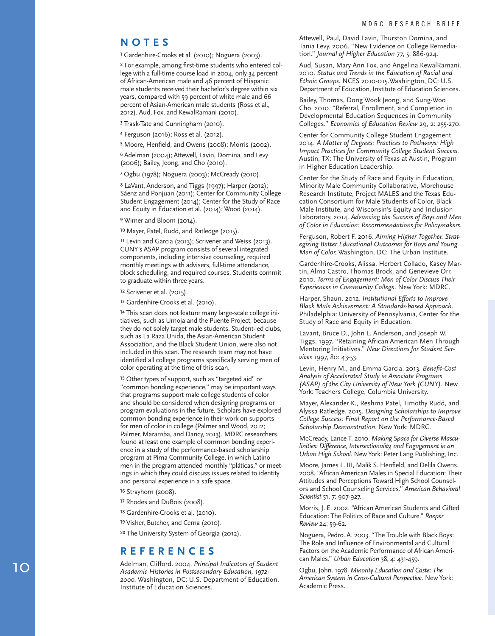#### **NOTES**

<sup>1</sup> Gardenhire-Crooks et al. (2010); Noguera (2003).

² For example, among first-time students who entered col lege with a full-time course load in 2004, only 34 percent of African-American male and 46 percent of Hispanic male students received their bachelor's degree within six years, compared with 59 percent of white male and 66 percent of Asian-American male students (Ross et al., 2012). Aud, Fox, and KewalRamani (2010).

<sup>3</sup> Trask-Tate and Cunningham (2010).

⁴ Ferguson (2016); Ross et al. (2012).

⁵ Moore, Henfield, and Owens (2008); Morris (2002).

⁶ Adelman (2004); Attewell, Lavin, Domina, and Levy (2006); Bailey, Jeong, and Cho (2010).

⁷ Ogbu (1978); Noguera (2003); McCready (2010).

⁸ LaVant, Anderson, and Tiggs (1997); Harper (2012); Sáenz and Ponjuan (2011); Center for Community College Student Engagement (2014); Center for the Study of Race and Equity in Education et al. (2014); Wood (2014).

⁹ Wimer and Bloom (2014).

<sup>10</sup> Mayer, Patel, Rudd, and Ratledge (2015).

<sup>11</sup> Levin and Garcia (2013); Scrivener and Weiss (2013). CUNY's ASAP program consists of several integrated components, including intensive counseling, required monthly meetings with advisers, full-time attendance, block scheduling, and required courses. Students commit to graduate within three years.

12 Scrivener et al. (2015).

13 Gardenhire-Crooks et al. (2010).

<sup>14</sup> This scan does not feature many large-scale college initiatives, such as Umoja and the Puente Project, because they do not solely target male students. Student-led clubs, such as La Raza Unida, the Asian-American Student Association, and the Black Student Union, were also not included in this scan. The research team may not have identified all college programs specifically serving men of color operating at the time of this scan.

<sup>15</sup> Other types of support, such as "targeted aid" or "common bonding experience," may be important ways that programs support male college students of color and should be considered when designing programs or program evaluations in the future. Scholars have explored common bonding experience in their work on supports for men of color in college (Palmer and Wood, 2012; Palmer, Maramba, and Dancy, 2013). MDRC researchers found at least one example of common bonding experi ence in a study of the performance-based scholarship program at Pima Community College, in which Latino men in the program attended monthly "pláticas," or meet ings in which they could discuss issues related to identity and personal experience in a safe space.

16 Strayhorn (2008).

<sup>17</sup> Rhodes and DuBois (2008).

18 Gardenhire-Crooks et al. (2010).

<sup>19</sup> Visher, Butcher, and Cerna (2010).

<sup>20</sup> The University System of Georgia (2012).

#### **REFERENCES**

Adelman, Clifford. 2004. *Principal Indicators of Student Academic Histories in Postsecondary Education, 1972- 2000.* Washington, DC: U.S. Department of Education, Institute of Education Sciences.

Attewell, Paul, David Lavin, Thurston Domina, and Tania Levy. 2006. "New Evidence on College Remedia tion." *Journal of Higher Education* 77, 5: 886-924.

Aud, Susan, Mary Ann Fox, and Angelina KewalRamani. 2010. *Status and Trends in the Education of Racial and Ethnic Groups.* NCES 2010-015.Washington, DC: U.S. Department of Education, Institute of Education Sciences.

Bailey, Thomas, Dong Wook Jeong, and Sung-Woo Cho. 2010. "Referral, Enrollment, and Completion in Developmental Education Sequences in Community Colleges." *Economics of Education Review* 29, 2: 255-270.

Center for Community College Student Engagement. 2014. *A Matter of Degrees: Practices to Pathways: High Impact Practices for Community College Student Success.*  Austin, TX: The University of Texas at Austin, Program in Higher Education Leadership.

Center for the Study of Race and Equity in Education, Minority Male Community Collaborative, Morehouse Research Institute, Project MALES and the Texas Edu cation Consortium for Male Students of Color, Black Male Institute, and Wisconsin's Equity and Inclusion Laboratory. 2014. *Advancing the Success of Boys and Men of Color in Education: Recommendations for Policymakers.*

Ferguson, Robert F. 2016. *Aiming Higher Together. Strat egizing Better Educational Outcomes for Boys and Young Men of Color.* Washington, DC: The Urban Institute.

Gardenhire-Crooks, Alissa, Herbert Collado, Kasey Mar tin, Alma Castro, Thomas Brock, and Genevieve Orr. 2010. *Terms of Engagement: Men of Color Discuss Their Experiences in Community College.* New York: MDRC.

Harper, Shaun. 2012. *Institutional Efforts to Improve Black Male Achievement: A Standards-based Approach.*  Philadelphia: University of Pennsylvania, Center for the Study of Race and Equity in Education.

Lavant, Bruce D., John L. Anderson, and Joseph W. Tiggs. 1997. "Retaining African American Men Through Mentoring Initiatives." *New Directions for Student Services* 1997, 80: 43-53.

Levin, Henry M., and Emma Garcia. 2013. *Benefit-Cost Analysis of Accelerated Study in Associate Programs (ASAP) of the City University of New York (CUNY).* New York: Teachers College, Columbia University.

Mayer, Alexander K., Reshma Patel, Timothy Rudd, and Alyssa Ratledge. 2015. *Designing Scholarships to Improve College Success: Final Report on the Performance-Based Scholarship Demonstration.* New York: MDRC.

McCready, Lance T. 2010. *Making Space for Diverse Mascu linities: Difference, Intersectionality, and Engagement in an Urban High School.* New York: Peter Lang Publishing, Inc.

Moore, James L. III, Malik S. Henfield, and Delila Owens. 2008. "African American Males in Special Education: Their Attitudes and Perceptions Toward High School Counsel ors and School Counseling Services." *American Behavioral Scientist* 51, 7: 907-927.

Morris, J. E. 2002. "African American Students and Gifted Education: The Politics of Race and Culture." *Roeper Review* 24: 59-62.

Noguera, Pedro. A. 2003. "The Trouble with Black Boys: The Role and Influence of Environmental and Cultural Factors on the Academic Performance of African Ameri can Males." *Urban Education* 38, 4: 431-459.

Ogbu, John. 1978. *Minority Education and Caste: The American System in Cross-Cultural Perspective.* New York: Academic Press.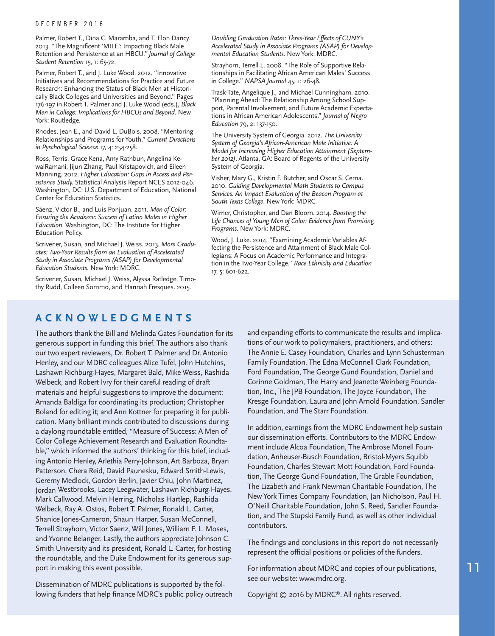#### DECEMBER 2016

Palmer, Robert T., Dina C. Maramba, and T. Elon Dancy. 2013. "The Magnificent 'MILE': Impacting Black Male Retention and Persistence at an HBCU*." Journal of College Student Retention* 15, 1: 65-72.

Palmer, Robert T., and J. Luke Wood. 2012. "Innovative Initiatives and Recommendations for Practice and Future Research: Enhancing the Status of Black Men at Historically Black Colleges and Universities and Beyond." Pages 176-197 in Robert T. Palmer and J. Luke Wood (eds.), *Black Men in College: Implications for HBCUs and Beyond.* New York: Routledge.

Rhodes, Jean E., and David L. DuBois. 2008. "Mentoring Relationships and Programs for Youth." *Current Directions in Pyschological Science* 17, 4: 254-258.

Ross, Terris, Grace Kena, Amy Rathbun, Angelina KewalRamani, Jijun Zhang, Paul Kristapovich, and Eileen Manning. 2012. *Higher Education: Gaps in Access and Persistence Study.* Statistical Analysis Report NCES 2012-046. Washington, DC: U.S. Department of Education, National Center for Education Statistics.

Sáenz, Victor B., and Luis Ponjuan. 2011. *Men of Color: Ensuring the Academic Success of Latino Males in Higher Education.* Washington, DC: The Institute for Higher Education Policy.

Scrivener, Susan, and Michael J. Weiss. 2013. *More Graduates: Two-Year Results from an Evaluation of Accelerated Study in Associate Programs (ASAP) for Developmental Education Students.* New York: MDRC.

Scrivener, Susan, Michael J. Weiss, Alyssa Ratledge, Timothy Rudd, Colleen Sommo, and Hannah Fresques. 2015.

*Doubling Graduation Rates: Three-Year Effects of CUNY's Accelerated Study in Associate Programs (ASAP) for Developmental Education Students.* New York: MDRC.

Strayhorn, Terrell L. 2008. "The Role of Supportive Relationships in Facilitating African American Males' Success in College." *NAPSA Journal* 45, 1: 26-48.

Trask-Tate, Angelique J., and Michael Cunningham. 2010. "Planning Ahead: The Relationship Among School Support, Parental Involvement, and Future Academic Expectations in African American Adolescents." *Journal of Negro Education* 79, 2: 137-150.

The University System of Georgia. 2012. *The University System of Georgia's African-American Male Initiative: A Model for Increasing Higher Education Attainment (September 2012)*. Atlanta, GA: Board of Regents of the University System of Georgia.

Visher, Mary G., Kristin F. Butcher, and Oscar S. Cerna. 2010. *Guiding Developmental Math Students to Campus Services: An Impact Evaluation of the Beacon Program at South Texas College.* New York: MDRC.

Wimer, Christopher, and Dan Bloom. 2014. *Boosting the Life Chances of Young Men of Color: Evidence from Promising Programs.* New York: MDRC.

Wood, J. Luke. 2014. "Examining Academic Variables Affecting the Persistence and Attainment of Black Male Collegians: A Focus on Academic Performance and Integration in the Two-Year College." *Race Ethnicity and Education*  17, 5: 601-622.

### **ACKNOWLEDGMENTS**

The authors thank the Bill and Melinda Gates Foundation for its generous support in funding this brief. The authors also thank our two expert reviewers, Dr. Robert T. Palmer and Dr. Antonio Henley, and our MDRC colleagues Alice Tufel, John Hutchins, Lashawn Richburg-Hayes, Margaret Bald, Mike Weiss, Rashida Welbeck, and Robert Ivry for their careful reading of draft materials and helpful suggestions to improve the document; Amanda Baldiga for coordinating its production; Christopher Boland for editing it; and Ann Kottner for preparing it for publication. Many brilliant minds contributed to discussions during a daylong roundtable entitled, "Measure of Success: A Men of Color College Achievement Research and Evaluation Roundtable," which informed the authors' thinking for this brief, including Antonio Henley, Arlethia Perry-Johnson, Art Barboza, Bryan Patterson, Chera Reid, David Paunesku, Edward Smith-Lewis, Geremy Medlock, Gordon Berlin, Javier Chiu, John Martinez, Jordan Westbrooks, Lacey Leegwater, Lashawn Richburg-Hayes, Mark Callwood, Melvin Herring, Nicholas Hartlep, Rashida Welbeck, Ray A. Ostos, Robert T. Palmer, Ronald L. Carter, Shanice Jones-Cameron, Shaun Harper, Susan McConnell, Terrell Strayhorn, Victor Saenz, Will Jones, William F. L. Moses, and Yvonne Belanger. Lastly, the authors appreciate Johnson C. Smith University and its president, Ronald L. Carter, for hosting the roundtable, and the Duke Endowment for its generous support in making this event possible.

Dissemination of MDRC publications is supported by the following funders that help finance MDRC's public policy outreach and expanding efforts to communicate the results and implications of our work to policymakers, practitioners, and others: The Annie E. Casey Foundation, Charles and Lynn Schusterman Family Foundation, The Edna McConnell Clark Foundation, Ford Foundation, The George Gund Foundation, Daniel and Corinne Goldman, The Harry and Jeanette Weinberg Foundation, Inc., The JPB Foundation, The Joyce Foundation, The Kresge Foundation, Laura and John Arnold Foundation, Sandler Foundation, and The Starr Foundation.

In addition, earnings from the MDRC Endowment help sustain our dissemination efforts. Contributors to the MDRC Endowment include Alcoa Foundation, The Ambrose Monell Foundation, Anheuser-Busch Foundation, Bristol-Myers Squibb Foundation, Charles Stewart Mott Foundation, Ford Foundation, The George Gund Foundation, The Grable Foundation, The Lizabeth and Frank Newman Charitable Foundation, The New York Times Company Foundation, Jan Nicholson, Paul H. O'Neill Charitable Foundation, John S. Reed, Sandler Foundation, and The Stupski Family Fund, as well as other individual contributors.

The findings and conclusions in this report do not necessarily represent the official positions or policies of the funders.

For information about MDRC and copies of our publications, see our website: www.mdrc.org.

Copyright © 2016 by MDRC®. All rights reserved.